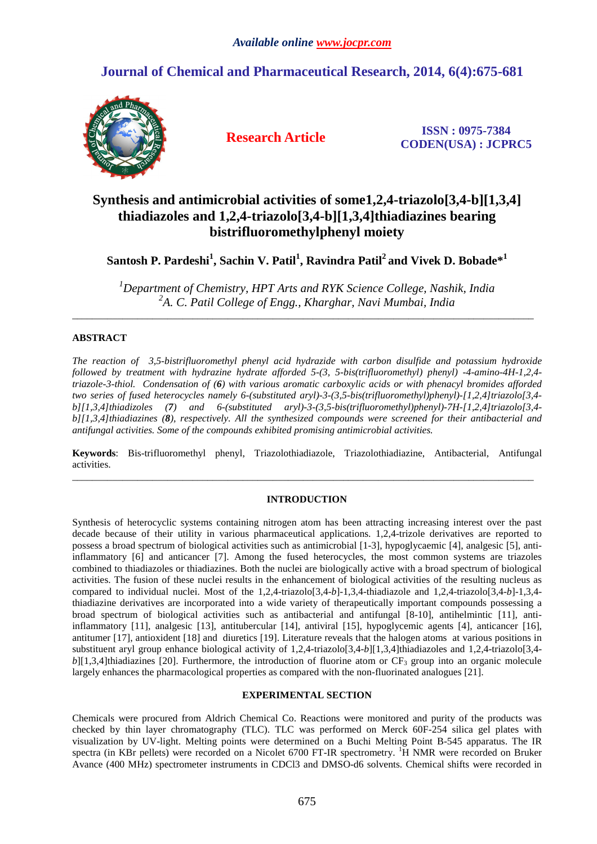# **Journal of Chemical and Pharmaceutical Research, 2014, 6(4):675-681**



**Research Article ISSN : 0975-7384 CODEN(USA) : JCPRC5**

# **Synthesis and antimicrobial activities of some1,2,4-triazolo[3,4-b][1,3,4] thiadiazoles and 1,2,4-triazolo[3,4-b][1,3,4]thiadiazines bearing bistrifluoromethylphenyl moiety**

## **Santosh P. Pardeshi<sup>1</sup> , Sachin V. Patil<sup>1</sup> , Ravindra Patil<sup>2</sup>and Vivek D. Bobade\*<sup>1</sup>**

*<sup>1</sup>Department of Chemistry, HPT Arts and RYK Science College, Nashik, India 2 A. C. Patil College of Engg., Kharghar, Navi Mumbai, India* 

 $\overline{\phantom{a}}$  , and the contribution of the contribution of the contribution of the contribution of the contribution of the contribution of the contribution of the contribution of the contribution of the contribution of the

### **ABSTRACT**

*The reaction of 3,5-bistrifluoromethyl phenyl acid hydrazide with carbon disulfide and potassium hydroxide followed by treatment with hydrazine hydrate afforded 5-(3, 5-bis(trifluoromethyl) phenyl) -4-amino-4H-1,2,4 triazole-3-thiol. Condensation of (6) with various aromatic carboxylic acids or with phenacyl bromides afforded two series of fused heterocycles namely 6-(substituted aryl)-3-(3,5-bis(trifluoromethyl)phenyl)-[1,2,4]triazolo[3,4 b][1,3,4]thiadizoles (7) and 6-(substituted aryl)-3-(3,5-bis(trifluoromethyl)phenyl)-7H-[1,2,4]triazolo[3,4 b][1,3,4]thiadiazines (8), respectively. All the synthesized compounds were screened for their antibacterial and antifungal activities. Some of the compounds exhibited promising antimicrobial activities.* 

**Keywords**: Bis-trifluoromethyl phenyl, Triazolothiadiazole, Triazolothiadiazine, Antibacterial, Antifungal activities.

 $\overline{\phantom{a}}$  , and the set of the set of the set of the set of the set of the set of the set of the set of the set of the set of the set of the set of the set of the set of the set of the set of the set of the set of the s

## **INTRODUCTION**

Synthesis of heterocyclic systems containing nitrogen atom has been attracting increasing interest over the past decade because of their utility in various pharmaceutical applications. 1,2,4-trizole derivatives are reported to possess a broad spectrum of biological activities such as antimicrobial [1-3], hypoglycaemic [4], analgesic [5], antiinflammatory [6] and anticancer [7]. Among the fused heterocycles, the most common systems are triazoles combined to thiadiazoles or thiadiazines. Both the nuclei are biologically active with a broad spectrum of biological activities. The fusion of these nuclei results in the enhancement of biological activities of the resulting nucleus as compared to individual nuclei. Most of the 1,2,4-triazolo[3,4-*b*]-1,3,4-thiadiazole and 1,2,4-triazolo[3,4-*b*]-1,3,4 thiadiazine derivatives are incorporated into a wide variety of therapeutically important compounds possessing a broad spectrum of biological activities such as antibacterial and antifungal [8-10], antihelmintic [11], antiinflammatory [11], analgesic [13], antitubercular [14], antiviral [15], hypoglycemic agents [4], anticancer [16], antitumer [17], antioxident [18] and diuretics [19]. Literature reveals that the halogen atoms at various positions in substituent aryl group enhance biological activity of 1,2,4-triazolo[3,4-*b*][1,3,4]thiadiazoles and 1,2,4-triazolo[3,4  $b$ [1,3,4]thiadiazines [20]. Furthermore, the introduction of fluorine atom or  $CF_3$  group into an organic molecule largely enhances the pharmacological properties as compared with the non-fluorinated analogues [21].

#### **EXPERIMENTAL SECTION**

Chemicals were procured from Aldrich Chemical Co. Reactions were monitored and purity of the products was checked by thin layer chromatography (TLC). TLC was performed on Merck 60F-254 silica gel plates with visualization by UV-light. Melting points were determined on a Buchi Melting Point B-545 apparatus. The IR spectra (in KBr pellets) were recorded on a Nicolet 6700 FT-IR spectrometry. <sup>1</sup>H NMR were recorded on Bruker Avance (400 MHz) spectrometer instruments in CDCl3 and DMSO-d6 solvents. Chemical shifts were recorded in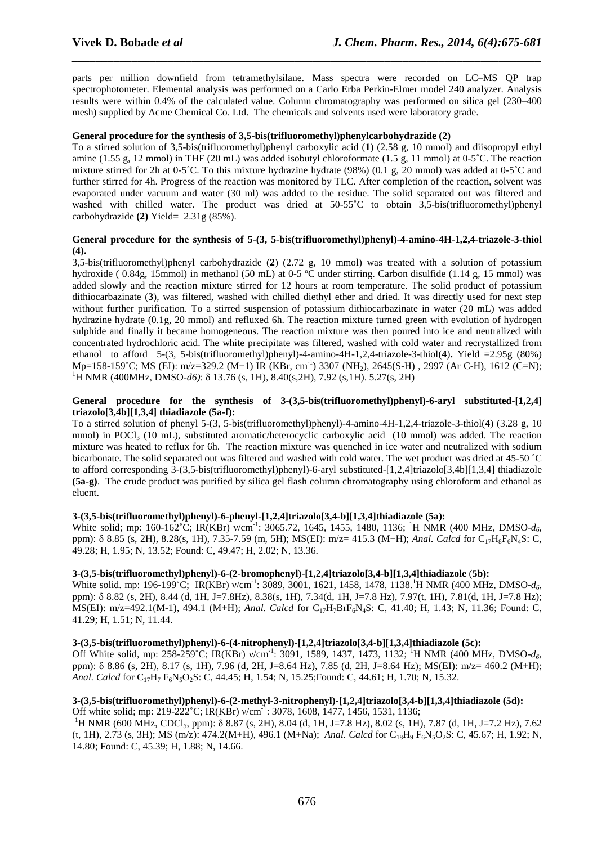parts per million downfield from tetramethylsilane. Mass spectra were recorded on LC–MS QP trap spectrophotometer. Elemental analysis was performed on a Carlo Erba Perkin-Elmer model 240 analyzer. Analysis results were within 0.4% of the calculated value. Column chromatography was performed on silica gel (230–400 mesh) supplied by Acme Chemical Co. Ltd. The chemicals and solvents used were laboratory grade.

*\_\_\_\_\_\_\_\_\_\_\_\_\_\_\_\_\_\_\_\_\_\_\_\_\_\_\_\_\_\_\_\_\_\_\_\_\_\_\_\_\_\_\_\_\_\_\_\_\_\_\_\_\_\_\_\_\_\_\_\_\_\_\_\_\_\_\_\_\_\_\_\_\_\_\_\_\_\_*

#### **General procedure for the synthesis of 3,5-bis(trifluoromethyl)phenylcarbohydrazide (2)**

To a stirred solution of 3,5-bis(trifluoromethyl)phenyl carboxylic acid (**1**) (2.58 g, 10 mmol) and diisopropyl ethyl amine (1.55 g, 12 mmol) in THF (20 mL) was added isobutyl chloroformate (1.5 g, 11 mmol) at 0-5˚C. The reaction mixture stirred for 2h at 0-5˚C. To this mixture hydrazine hydrate (98%) (0.1 g, 20 mmol) was added at 0-5˚C and further stirred for 4h. Progress of the reaction was monitored by TLC. After completion of the reaction, solvent was evaporated under vacuum and water (30 ml) was added to the residue. The solid separated out was filtered and washed with chilled water. The product was dried at 50-55°C to obtain 3,5-bis(trifluoromethyl)phenyl carbohydrazide **(2)** Yield= 2.31g (85%).

#### **General procedure for the synthesis of 5-(3, 5-bis(trifluoromethyl)phenyl)-4-amino-4H-1,2,4-triazole-3-thiol (4).**

3,5-bis(trifluoromethyl)phenyl carbohydrazide (**2**) (2.72 g, 10 mmol) was treated with a solution of potassium hydroxide ( 0.84g, 15mmol) in methanol (50 mL) at 0-5 °C under stirring. Carbon disulfide (1.14 g, 15 mmol) was added slowly and the reaction mixture stirred for 12 hours at room temperature. The solid product of potassium dithiocarbazinate (**3**), was filtered, washed with chilled diethyl ether and dried. It was directly used for next step without further purification. To a stirred suspension of potassium dithiocarbazinate in water (20 mL) was added hydrazine hydrate (0.1g, 20 mmol) and refluxed 6h. The reaction mixture turned green with evolution of hydrogen sulphide and finally it became homogeneous. The reaction mixture was then poured into ice and neutralized with concentrated hydrochloric acid. The white precipitate was filtered, washed with cold water and recrystallized from ethanol to afford 5-(3, 5-bis(trifluoromethyl)phenyl)-4-amino-4H-1,2,4-triazole-3-thiol(**4**)**.** Yield =2.95g (80%) Mp=158-159°C; MS (EI): m/z=329.2 (M+1) IR (KBr, cm<sup>-1</sup>) 3307 (NH<sub>2</sub>), 2645(S-H), 2997 (Ar C-H), 1612 (C=N); <sup>1</sup>H NMR (400MHz, DMSO-*d6*): δ 13.76 (s, 1H), 8.40(s, 2H), 7.92 (s, 1H). 5.27(s, 2H)

#### **General procedure for the synthesis of 3-(3,5-bis(trifluoromethyl)phenyl)-6-aryl substituted-[1,2,4] triazolo[3,4b][1,3,4] thiadiazole (5a-f):**

To a stirred solution of phenyl 5-(3, 5-bis(trifluoromethyl)phenyl)-4-amino-4H-1,2,4-triazole-3-thiol(**4**) (3.28 g, 10 mmol) in POCl<sub>3</sub> (10 mL), substituted aromatic/heterocyclic carboxylic acid (10 mmol) was added. The reaction mixture was heated to reflux for 6h. The reaction mixture was quenched in ice water and neutralized with sodium bicarbonate. The solid separated out was filtered and washed with cold water. The wet product was dried at 45-50 ˚C to afford corresponding 3-(3,5-bis(trifluoromethyl)phenyl)-6-aryl substituted-[1,2,4]triazolo[3,4b][1,3,4] thiadiazole **(5a-g)**. The crude product was purified by silica gel flash column chromatography using chloroform and ethanol as eluent.

#### **3-(3,5-bis(trifluoromethyl)phenyl)-6-phenyl-[1,2,4]triazolo[3,4-b][1,3,4]thiadiazole (5a):**

White solid; mp: 160-162°C; IR(KBr) v/cm<sup>-1</sup>: 3065.72, 1645, 1455, 1480, 1136; <sup>1</sup>H NMR (400 MHz, DMSO-*d*<sub>6</sub>, ppm): δ 8.85 (s, 2H), 8.28(s, 1H), 7.35-7.59 (m, 5H); MS(EI): m/z= 415.3 (M+H); *Anal. Calcd* for C17H8F6N4S: C, 49.28; H, 1.95; N, 13.52; Found: C, 49.47; H, 2.02; N, 13.36.

#### **3-(3,5-bis(trifluoromethyl)phenyl)-6-(2-bromophenyl)-[1,2,4]triazolo[3,4-b][1,3,4]thiadiazole** (**5b):**

White solid. mp: 196-199<sup>°</sup>C; IR(KBr) ν/cm<sup>-1</sup>: 3089, 3001, 1621, 1458, 1478, 1138.<sup>1</sup>H NMR (400 MHz, DMSO-*d*<sub>6</sub>, ppm): δ 8.82 (s, 2H), 8.44 (d, 1H, J=7.8Hz), 8.38(s, 1H), 7.34(d, 1H, J=7.8 Hz), 7.97(t, 1H), 7.81(d, 1H, J=7.8 Hz); MS(EI): m/z=492.1(M-1), 494.1 (M+H); *Anal. Calcd* for C<sub>17</sub>H<sub>7</sub>BrF<sub>6</sub>N<sub>4</sub>S: C, 41.40; H, 1.43; N, 11.36; Found: C, 41.29; H, 1.51; N, 11.44.

**3-(3,5-bis(trifluoromethyl)phenyl)-6-(4-nitrophenyl)-[1,2,4]triazolo[3,4-b][1,3,4]thiadiazole (5c):** 

Off White solid, mp: 258-259°C; IR(KBr) ν/cm<sup>-1</sup>: 3091, 1589, 1437, 1473, 1132; <sup>1</sup>H NMR (400 MHz, DMSO-*d*<sub>6</sub>, ppm): δ 8.86 (s, 2H), 8.17 (s, 1H), 7.96 (d, 2H, J=8.64 Hz), 7.85 (d, 2H, J=8.64 Hz); MS(EI): m/z= 460.2 (M+H); *Anal. Calcd* for C<sub>17</sub>H<sub>7</sub> F<sub>6</sub>N<sub>5</sub>O<sub>2</sub>S: C, 44.45; H, 1.54; N, 15.25; Found: C, 44.61; H, 1.70; N, 15.32.

#### **3-(3,5-bis(trifluoromethyl)phenyl)-6-(2-methyl-3-nitrophenyl)-[1,2,4]triazolo[3,4-b][1,3,4]thiadiazole (5d):**  Off white solid; mp: 219-222˚C; IR(KBr) ν/cm-1: 3078, 1608, 1477, 1456, 1531, 1136;

<sup>1</sup>H NMR (600 MHz, CDCl<sub>3</sub>, ppm): δ 8.87 (s, 2H), 8.04 (d, 1H, J=7.8 Hz), 8.02 (s, 1H), 7.87 (d, 1H, J=7.2 Hz), 7.62 (t, 1H), 2.73 (s, 3H); MS (m/z): 474.2(M+H), 496.1 (M+Na); *Anal. Calcd* for C<sub>18</sub>H<sub>9</sub> F<sub>6</sub>N<sub>5</sub>O<sub>2</sub>S: C, 45.67; H, 1.92; N, 14.80; Found: C, 45.39; H, 1.88; N, 14.66.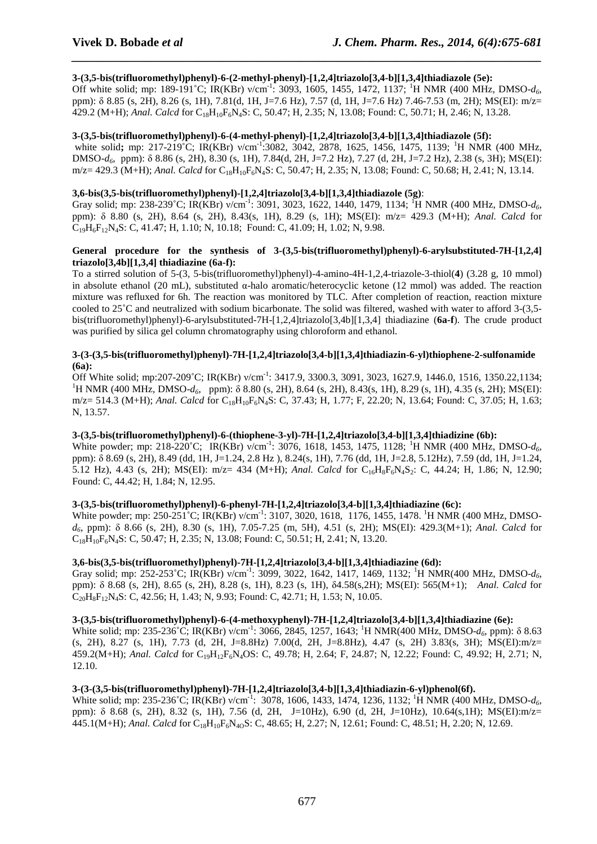#### **3-(3,5-bis(trifluoromethyl)phenyl)-6-(2-methyl-phenyl)-[1,2,4]triazolo[3,4-b][1,3,4]thiadiazole (5e):**

Off white solid; mp: 189-191 °C; IR(KBr) ν/cm<sup>-1</sup>: 3093, 1605, 1455, 1472, 1137; <sup>1</sup>H NMR (400 MHz, DMSO-*d*<sub>6</sub>, ppm): δ 8.85 (s, 2H), 8.26 (s, 1H), 7.81(d, 1H, J=7.6 Hz), 7.57 (d, 1H, J=7.6 Hz) 7.46-7.53 (m, 2H); MS(EI): m/z= 429.2 (M+H); *Anal. Calcd* for C18H10F6N4S: C, 50.47; H, 2.35; N, 13.08; Found: C, 50.71; H, 2.46; N, 13.28.

*\_\_\_\_\_\_\_\_\_\_\_\_\_\_\_\_\_\_\_\_\_\_\_\_\_\_\_\_\_\_\_\_\_\_\_\_\_\_\_\_\_\_\_\_\_\_\_\_\_\_\_\_\_\_\_\_\_\_\_\_\_\_\_\_\_\_\_\_\_\_\_\_\_\_\_\_\_\_*

#### **3-(3,5-bis(trifluoromethyl)phenyl)-6-(4-methyl-phenyl)-[1,2,4]triazolo[3,4-b][1,3,4]thiadiazole (5f):**

white solid; mp: 217-219<sup>°</sup>C; IR(KBr) ν/cm<sup>-1</sup>:3082, 3042, 2878, 1625, 1456, 1475, 1139; <sup>1</sup>H NMR (400 MHz, DMSO-*d6*, ppm): δ 8.86 (s, 2H), 8.30 (s, 1H), 7.84(d, 2H, J=7.2 Hz), 7.27 (d, 2H, J=7.2 Hz), 2.38 (s, 3H); MS(EI): m/z= 429.3 (M+H); *Anal. Calcd* for C<sub>18</sub>H<sub>10</sub>F<sub>6</sub>N<sub>4</sub>S: C, 50.47; H, 2.35; N, 13.08; Found: C, 50.68; H, 2.41; N, 13.14.

#### **3,6-bis(3,5-bis(trifluoromethyl)phenyl)-[1,2,4]triazolo[3,4-b][1,3,4]thiadiazole (5g)**:

Gray solid; mp: 238-239˚C; IR(KBr) ν/cm-1: 3091, 3023, 1622, 1440, 1479, 1134; <sup>1</sup>H NMR (400 MHz, DMSO-*d6*, ppm): δ 8.80 (s, 2H), 8.64 (s, 2H), 8.43(s, 1H), 8.29 (s, 1H); MS(EI): m/z= 429.3 (M+H); *Anal. Calcd* for C19H6F12N4S: C, 41.47; H, 1.10; N, 10.18; Found: C, 41.09; H, 1.02; N, 9.98.

#### **General procedure for the synthesis of 3-(3,5-bis(trifluoromethyl)phenyl)-6-arylsubstituted-7H-[1,2,4] triazolo[3,4b][1,3,4] thiadiazine (6a-f):**

To a stirred solution of 5-(3, 5-bis(trifluoromethyl)phenyl)-4-amino-4H-1,2,4-triazole-3-thiol(**4**) (3.28 g, 10 mmol) in absolute ethanol (20 mL), substituted α-halo aromatic/heterocyclic ketone (12 mmol) was added. The reaction mixture was refluxed for 6h. The reaction was monitored by TLC. After completion of reaction, reaction mixture cooled to 25˚C and neutralized with sodium bicarbonate. The solid was filtered, washed with water to afford 3-(3,5 bis(trifluoromethyl)phenyl)-6-arylsubstituted-7H-[1,2,4]triazolo[3,4b][1,3,4] thiadiazine (**6a-f**). The crude product was purified by silica gel column chromatography using chloroform and ethanol.

#### **3-(3-(3,5-bis(trifluoromethyl)phenyl)-7H-[1,2,4]triazolo[3,4-b][1,3,4]thiadiazin-6-yl)thiophene-2-sulfonamide (6a):**

Off White solid; mp:207-209˚C; IR(KBr) ν/cm-1: 3417.9, 3300.3, 3091, 3023, 1627.9, 1446.0, 1516, 1350.22,1134; <sup>1</sup>H NMR (400 MHz, DMSO-*d*<sub>6</sub>, ppm): δ 8.80 (s, 2H), 8.64 (s, 2H), 8.43(s, 1H), 8.29 (s, 1H), 4.35 (s, 2H); MS(EI): m/z= 514.3 (M+H); *Anal. Calcd* for C<sub>18</sub>H<sub>10</sub>F<sub>6</sub>N<sub>4</sub>S: C, 37.43; H, 1.77; F, 22.20; N, 13.64; Found: C, 37.05; H, 1.63; N, 13.57.

### **3-(3,5-bis(trifluoromethyl)phenyl)-6-(thiophene-3-yl)-7H-[1,2,4]triazolo[3,4-b][1,3,4]thiadizine (6b):**

White powder; mp: 218-220<sup>°</sup>C; IR(KBr)  $\sqrt{cm}^{-1}$ : 3076, 1618, 1453, 1475, 1128; <sup>1</sup>H NMR (400 MHz, DMSO-*d*<sub>6</sub>, ppm): δ 8.69 (s, 2H), 8.49 (dd, 1H, J=1.24, 2.8 Hz ), 8.24(s, 1H), 7.76 (dd, 1H, J=2.8, 5.12Hz), 7.59 (dd, 1H, J=1.24, 5.12 Hz), 4.43 (s, 2H); MS(EI): m/z= 434 (M+H); *Anal. Calcd* for C16H8F6N4S2: C, 44.24; H, 1.86; N, 12.90; Found: C, 44.42; H, 1.84; N, 12.95.

#### **3-(3,5-bis(trifluoromethyl)phenyl)-6-phenyl-7H-[1,2,4]triazolo[3,4-b][1,3,4]thiadiazine (6c):**

White powder; mp: 250-251<sup>°</sup>C; IR(KBr) ν/cm<sup>-1</sup>: 3107, 3020, 1618, 1176, 1455, 1478. <sup>1</sup>H NMR (400 MHz, DMSO*d6*, ppm): δ 8.66 (s, 2H), 8.30 (s, 1H), 7.05-7.25 (m, 5H), 4.51 (s, 2H); MS(EI): 429.3(M+1); *Anal. Calcd* for C18H10F6N4S: C, 50.47; H, 2.35; N, 13.08; Found: C, 50.51; H, 2.41; N, 13.20.

#### **3,6-bis(3,5-bis(trifluoromethyl)phenyl)-7H-[1,2,4]triazolo[3,4-b][1,3,4]thiadiazine (6d):**

Gray solid; mp: 252-253<sup>°</sup>C; IR(KBr) ν/cm<sup>-1</sup>: 3099, 3022, 1642, 1417, 1469, 1132; <sup>1</sup>H NMR(400 MHz, DMSO-*d*<sub>6</sub>, ppm): δ 8.68 (s, 2H), 8.65 (s, 2H), 8.28 (s, 1H), 8.23 (s, 1H), δ4.58(s,2H); MS(EI): 565(M+1); *Anal. Calcd* for  $C_{20}H_8F_{12}N_4S$ : C, 42.56; H, 1.43; N, 9.93; Found: C, 42.71; H, 1.53; N, 10.05.

#### **3-(3,5-bis(trifluoromethyl)phenyl)-6-(4-methoxyphenyl)-7H-[1,2,4]triazolo[3,4-b][1,3,4]thiadiazine (6e):**

White solid; mp: 235-236°C; IR(KBr)  $v/cm^{-1}$ : 3066, 2845, 1257, 1643; <sup>1</sup>H NMR(400 MHz, DMSO-*d*<sub>6</sub>, ppm): δ 8.63 (s, 2H), 8.27 (s, 1H), 7.73 (d, 2H, J=8.8Hz) 7.00(d, 2H, J=8.8Hz), 4.47 (s, 2H) 3.83(s, 3H); MS(EI):m/z= 459.2(M+H); *Anal. Calcd* for C<sub>19</sub>H<sub>12</sub>F<sub>6</sub>N<sub>4</sub>OS: C, 49.78; H, 2.64; F, 24.87; N, 12.22; Found: C, 49.92; H, 2.71; N, 12.10.

#### **3-(3-(3,5-bis(trifluoromethyl)phenyl)-7H-[1,2,4]triazolo[3,4-b][1,3,4]thiadiazin-6-yl)phenol(6f).**

White solid; mp: 235-236°C; IR(KBr)  $v/cm^{-1}$ : 3078, 1606, 1433, 1474, 1236, 1132; <sup>1</sup>H NMR (400 MHz, DMSO-*d*<sub>6</sub>, ppm): δ 8.68 (s, 2H), 8.32 (s, 1H), 7.56 (d, 2H, J=10Hz), 6.90 (d, 2H, J=10Hz), 10.64(s,1H); MS(EI):m/z= 445.1(M+H); *Anal. Calcd* for C18H10F6N4OS: C, 48.65; H, 2.27; N, 12.61; Found: C, 48.51; H, 2.20; N, 12.69.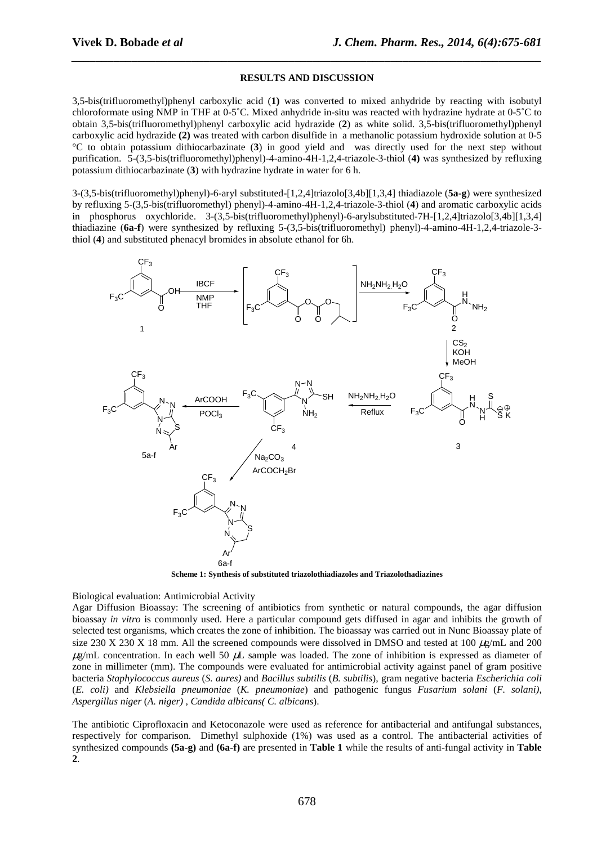#### **RESULTS AND DISCUSSION**

*\_\_\_\_\_\_\_\_\_\_\_\_\_\_\_\_\_\_\_\_\_\_\_\_\_\_\_\_\_\_\_\_\_\_\_\_\_\_\_\_\_\_\_\_\_\_\_\_\_\_\_\_\_\_\_\_\_\_\_\_\_\_\_\_\_\_\_\_\_\_\_\_\_\_\_\_\_\_*

3,5-bis(trifluoromethyl)phenyl carboxylic acid (**1)** was converted to mixed anhydride by reacting with isobutyl chloroformate using NMP in THF at 0-5˚C. Mixed anhydride in-situ was reacted with hydrazine hydrate at 0-5˚C to obtain 3,5-bis(trifluoromethyl)phenyl carboxylic acid hydrazide (**2**) as white solid. 3,5-bis(trifluoromethyl)phenyl carboxylic acid hydrazide **(2)** was treated with carbon disulfide in a methanolic potassium hydroxide solution at 0-5 °C to obtain potassium dithiocarbazinate (**3**) in good yield and was directly used for the next step without purification. 5-(3,5-bis(trifluoromethyl)phenyl)-4-amino-4H-1,2,4-triazole-3-thiol (**4)** was synthesized by refluxing potassium dithiocarbazinate (**3**) with hydrazine hydrate in water for 6 h.

3-(3,5-bis(trifluoromethyl)phenyl)-6-aryl substituted-[1,2,4]triazolo[3,4b][1,3,4] thiadiazole (**5a-g**) were synthesized by refluxing 5-(3,5-bis(trifluoromethyl) phenyl)-4-amino-4H-1,2,4-triazole-3-thiol (**4**) and aromatic carboxylic acids in phosphorus oxychloride. 3-(3,5-bis(trifluoromethyl)phenyl)-6-arylsubstituted-7H-[1,2,4]triazolo[3,4b][1,3,4] thiadiazine (**6a-f**) were synthesized by refluxing 5-(3,5-bis(trifluoromethyl) phenyl)-4-amino-4H-1,2,4-triazole-3 thiol (**4**) and substituted phenacyl bromides in absolute ethanol for 6h.



**Scheme 1: Synthesis of substituted triazolothiadiazoles and Triazolothadiazines** 

#### Biological evaluation: Antimicrobial Activity

Agar Diffusion Bioassay: The screening of antibiotics from synthetic or natural compounds, the agar diffusion bioassay *in vitro* is commonly used. Here a particular compound gets diffused in agar and inhibits the growth of selected test organisms, which creates the zone of inhibition. The bioassay was carried out in Nunc Bioassay plate of size 230 X 230 X 18 mm. All the screened compounds were dissolved in DMSO and tested at 100  $\mu$ g/mL and 200  $\mu$ g/mL concentration. In each well 50  $\mu$ L sample was loaded. The zone of inhibition is expressed as diameter of zone in millimeter (mm). The compounds were evaluated for antimicrobial activity against panel of gram positive bacteria *Staphylococcus aureus* (*S. aures)* and *Bacillus subtilis* (*B. subtilis*), gram negative bacteria *Escherichia coli*  (*E. coli)* and *Klebsiella pneumoniae* (*K. pneumoniae*) and pathogenic fungus *Fusarium solani* (*F. solani)*, *Aspergillus niger* (*A. niger)* , *Candida albicans( C. albicans*).

The antibiotic Ciprofloxacin and Ketoconazole were used as reference for antibacterial and antifungal substances, respectively for comparison. Dimethyl sulphoxide (1%) was used as a control. The antibacterial activities of synthesized compounds **(5a-g)** and **(6a-f)** are presented in **Table 1** while the results of anti-fungal activity in **Table 2**.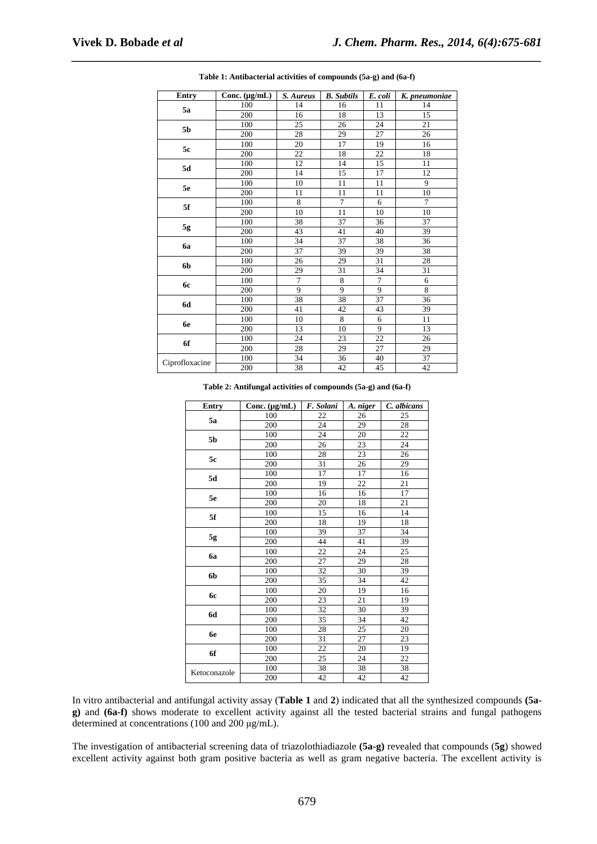| <b>Entry</b>   | $\overline{\text{Conc.}}$ (µg/mL) | S. Aureus      | <b>B.</b> Subtils | E. coli         | K. pneumoniae  |
|----------------|-----------------------------------|----------------|-------------------|-----------------|----------------|
| 5a             | 100                               | 14             | 16                | 11              | 14             |
|                | 200                               | 16             | 18                | 13              | 15             |
| 5b             | 100                               | 25             | 26                | 24              | 21             |
|                | 200                               | 28             | 29                | 27              | 26             |
| 5c             | 100                               | 20             | 17                | 19              | 16             |
|                | 200                               | 22             | 18                | 22              | 18             |
| 5d             | 100                               | 12             | 14                | 15              | 11             |
|                | 200                               | 14             | 15                | 17              | 12             |
| 5e             | 100                               | 10             | 11                | 11              | 9              |
|                | 200                               | 11             | 11                | 11              | 10             |
| 5f             | 100                               | $\overline{8}$ | $\overline{7}$    | 6               | $\overline{7}$ |
|                | 200                               | 10             | 11                | 10              | 10             |
| $5\mathrm{g}$  | 100                               | 38             | 37                | 36              | 37             |
|                | 200                               | 43             | 41                | 40              | 39             |
| <b>6a</b>      | 100                               | 34             | 37                | 38              | 36             |
|                | 200                               | 37             | 39                | 39              | 38             |
| 6b             | 100                               | 26             | 29                | 31              | 28             |
|                | 200                               | 29             | 31                | 34              | 31             |
| 6с             | 100                               | $\overline{7}$ | 8                 | $\tau$          | 6              |
|                | 200                               | 9              | 9                 | 9               | 8              |
| 6d             | 100                               | 38             | 38                | 37              | 36             |
|                | 200                               | 41             | 42                | 43              | 39             |
| 6e             | 100                               | 10             | 8                 | 6               | 11             |
|                | 200                               | 13             | 10                | 9               | 13             |
| 6f             | 100                               | 24             | 23                | $\overline{22}$ | 26             |
|                | 200                               | 28             | 29                | 27              | 29             |
| Ciprofloxacine | 100                               | 34             | 36                | 40              | 37             |
|                | 200                               | 38             | 42                | 45              | 42             |

*\_\_\_\_\_\_\_\_\_\_\_\_\_\_\_\_\_\_\_\_\_\_\_\_\_\_\_\_\_\_\_\_\_\_\_\_\_\_\_\_\_\_\_\_\_\_\_\_\_\_\_\_\_\_\_\_\_\_\_\_\_\_\_\_\_\_\_\_\_\_\_\_\_\_\_\_\_\_* **Table 1: Antibacterial activities of compounds (5a-g) and (6a-f)** 

**Table 2: Antifungal activities of compounds (5a-g) and (6a-f)** 

| Entry        | Conc. $(\mu g/mL)$ | F. Solani       | A. niger | C. albicans |
|--------------|--------------------|-----------------|----------|-------------|
| 5a           | 100                | 22              | 26       | 25          |
|              | 200                | 24              | 29       | 28          |
| 5b           | 100                | 24              | 20       | 22          |
|              | 200                | 26              | 23       | 24          |
| 5c           | 100                | 28              | 23       | 26          |
|              | 200                | 31              | 26       | 29          |
| 5d           | 100                | 17              | 17       | 16          |
|              | 200                | 19              | 22       | 21          |
| 5e           | 100                | 16              | 16       | 17          |
|              | 200                | 20              | 18       | 21          |
| 5f           | 100                | 15              | 16       | 14          |
|              | 200                | 18              | 19       | 18          |
| 5g           | 100                | 39              | 37       | 34          |
|              | 200                | 44              | 41       | 39          |
| 6a           | 100                | 22              | 24       | 25          |
|              | 200                | 27              | 29       | 28          |
| 6b           | 100                | 32              | 30       | 39          |
|              | 200                | $\overline{35}$ | 34       | 42          |
| <b>6c</b>    | 100                | 20              | 19       | 16          |
|              | 200                | 23              | 21       | 19          |
| 6d           | 100                | 32              | 30       | 39          |
|              | 200                | 35              | 34       | 42          |
| 6e           | 100                | 28              | 25       | 20          |
|              | 200                | 31              | 27       | 23          |
| 6f           | 100                | 22              | 20       | 19          |
|              | 200                | 25              | 24       | 22          |
| Ketoconazole | 100                | 38              | 38       | 38          |
|              | 200                | 42              | 42       | 42          |

In vitro antibacterial and antifungal activity assay (**Table 1** and **2**) indicated that all the synthesized compounds **(5ag)** and **(6a-f)** shows moderate to excellent activity against all the tested bacterial strains and fungal pathogens determined at concentrations (100 and 200 µg/mL).

The investigation of antibacterial screening data of triazolothiadiazole **(5a-g)** revealed that compounds (**5g**) showed excellent activity against both gram positive bacteria as well as gram negative bacteria. The excellent activity is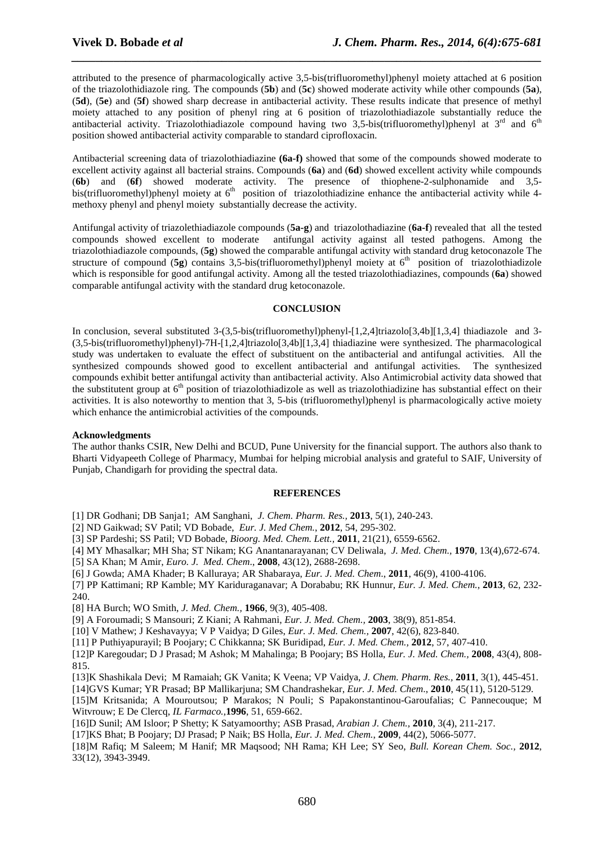attributed to the presence of pharmacologically active 3,5-bis(trifluoromethyl)phenyl moiety attached at 6 position of the triazolothidiazole ring. The compounds (**5b**) and (**5c**) showed moderate activity while other compounds (**5a**), (**5d**), (**5e**) and (**5f**) showed sharp decrease in antibacterial activity. These results indicate that presence of methyl moiety attached to any position of phenyl ring at 6 position of triazolothiadiazole substantially reduce the antibacterial activity. Triazolothiadiazole compound having two 3,5-bis(trifluoromethyl)phenyl at  $3^{rd}$  and  $6^{th}$ position showed antibacterial activity comparable to standard ciprofloxacin.

*\_\_\_\_\_\_\_\_\_\_\_\_\_\_\_\_\_\_\_\_\_\_\_\_\_\_\_\_\_\_\_\_\_\_\_\_\_\_\_\_\_\_\_\_\_\_\_\_\_\_\_\_\_\_\_\_\_\_\_\_\_\_\_\_\_\_\_\_\_\_\_\_\_\_\_\_\_\_*

Antibacterial screening data of triazolothiadiazine **(6a-f)** showed that some of the compounds showed moderate to excellent activity against all bacterial strains. Compounds (**6a**) and (**6d**) showed excellent activity while compounds (**6b**) and (**6f**) showed moderate activity. The presence of thiophene-2-sulphonamide and 3,5 bis(trifluoromethyl)phenyl moiety at  $6<sup>th</sup>$  position of triazolothiadizine enhance the antibacterial activity while 4methoxy phenyl and phenyl moiety substantially decrease the activity.

Antifungal activity of triazolethiadiazole compounds (**5a-g**) and triazolothadiazine (**6a-f**) revealed that all the tested compounds showed excellent to moderate antifungal activity against all tested pathogens. Among the triazolothiadiazole compounds, (**5g**) showed the comparable antifungal activity with standard drug ketoconazole The structure of compound  $(5g)$  contains 3,5-bis(trifluoromethyl)phenyl moiety at  $6<sup>th</sup>$  position of triazolothiadizole which is responsible for good antifungal activity. Among all the tested triazolothiadiazines, compounds (**6a**) showed comparable antifungal activity with the standard drug ketoconazole.

#### **CONCLUSION**

In conclusion, several substituted 3-(3,5-bis(trifluoromethyl)phenyl-[1,2,4]triazolo[3,4b][1,3,4] thiadiazole and 3- (3,5-bis(trifluoromethyl)phenyl)-7H-[1,2,4]triazolo[3,4b][1,3,4] thiadiazine were synthesized. The pharmacological study was undertaken to evaluate the effect of substituent on the antibacterial and antifungal activities. All the synthesized compounds showed good to excellent antibacterial and antifungal activities. The synthesized compounds exhibit better antifungal activity than antibacterial activity. Also Antimicrobial activity data showed that the substitutent group at 6<sup>th</sup> position of triazolothiadizole as well as triazolothiadizine has substantial effect on their activities. It is also noteworthy to mention that 3, 5-bis (trifluoromethyl)phenyl is pharmacologically active moiety which enhance the antimicrobial activities of the compounds.

#### **Acknowledgments**

The author thanks CSIR, New Delhi and BCUD, Pune University for the financial support. The authors also thank to Bharti Vidyapeeth College of Pharmacy, Mumbai for helping microbial analysis and grateful to SAIF, University of Punjab, Chandigarh for providing the spectral data.

#### **REFERENCES**

[1] DR Godhani; DB Sanja1; AM Sanghani, *J. Chem. Pharm. Res.,* **2013**, 5(1), 240-243.

[2] ND Gaikwad; SV Patil; VD Bobade, *Eur. J. Med Chem.*, **2012**, 54, 295-302.

[3] SP Pardeshi; SS Patil; VD Bobade, *Bioorg. Med. Chem. Lett.,* **2011**, 21(21), 6559-6562.

[4] MY Mhasalkar; MH Sha; ST Nikam; KG Anantanarayanan; CV Deliwala, *J. Med. Chem.,* **1970**, 13(4),672-674.

[5] SA Khan; M Amir, *Euro. J. Med. Chem*., **2008**, 43(12), 2688-2698.

[6] J Gowda; AMA Khader; B Kalluraya; AR Shabaraya, *Eur. J. Med. Chem*., **2011**, 46(9), 4100-4106.

[7] PP Kattimani; RP Kamble; MY Kariduraganavar; A Dorababu; RK Hunnur*, Eur. J. Med. Chem.,* **2013**, 62, 232- 240.

[8] HA Burch; WO Smith, *J. Med. Chem.,* **1966**, 9(3), 405-408.

[9] A Foroumadi; S Mansouri; Z Kiani; A Rahmani, *Eur. J. Med. Chem.,* **2003**, 38(9), 851-854.

[10] V Mathew; J Keshavayya; V P Vaidya; D Giles, *Eur. J. Med. Chem.,* **2007**, 42(6), 823-840.

[11] P Puthiyapurayil; B Poojary; C Chikkanna; SK Buridipad, *Eur. J. Med. Chem.,* **2012**, 57, 407-410.

[12]P Karegoudar; D J Prasad; M Ashok; M Mahalinga; B Poojary; BS Holla, *Eur. J. Med. Chem.,* **2008**, 43(4), 808- 815.

[13]K Shashikala Devi; M Ramaiah; GK Vanita; K Veena; VP Vaidya, *J. Chem. Pharm. Res.,* **2011**, 3(1), 445-451.

[14]GVS Kumar; YR Prasad; BP Mallikarjuna; SM Chandrashekar, *Eur. J. Med. Chem*., **2010**, 45(11), 5120-5129.

[15]M Kritsanida; A Mouroutsou; P Marakos; N Pouli; S Papakonstantinou-Garoufalias; C Pannecouque; M Witvrouw; E De Clercq, *IL Farmaco.,***1996**, 51, 659-662.

[16]D Sunil; AM Isloor; P Shetty; K Satyamoorthy; ASB Prasad, *Arabian J. Chem.,* **2010**, 3(4), 211-217.

[17]KS Bhat; B Poojary; DJ Prasad; P Naik; BS Holla, *Eur. J. Med. Chem.*, **2009**, 44(2), 5066-5077.

[18]M Rafiq; M Saleem; M Hanif; MR Maqsood; NH Rama; KH Lee; SY Seo, *Bull. Korean Chem. Soc.,* **2012**, 33(12), 3943-3949.